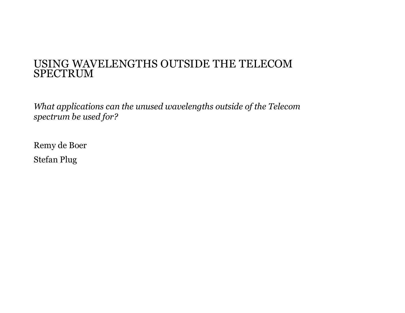#### USING WAVELENGTHS OUTSIDE THE TELECOM SPECTRUM

*What applications can the unused wavelengths outside of the Telecom spectrum be used for?*

Remy de Boer Stefan Plug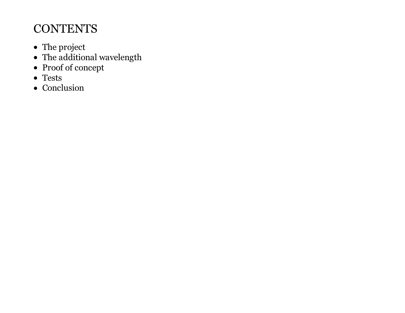## **CONTENTS**

- The project
- The additional wavelength
- Proof of concept
- Tests
- Conclusion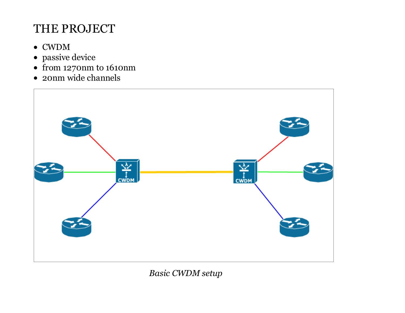## THE PROJECT

- CWDM
- passive device
- from 1270nm to 1610nm
- 20nm wide channels



*Basic CWDM setup*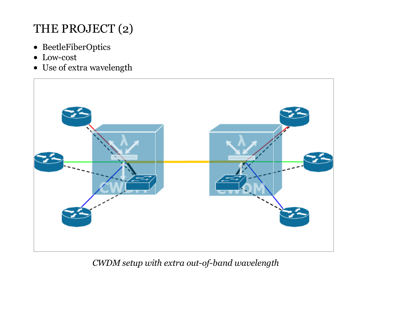# THE PROJECT (2)

- BeetleFiberOptics
- Low-cost
- Use of extra wavelength



*CWDM setup with extra out-of-band wavelength*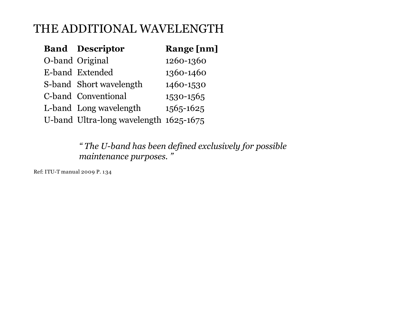### THE ADDITIONAL WAVELENGTH

| <b>Band Descriptor</b>                 | <b>Range</b> [nm] |
|----------------------------------------|-------------------|
| O-band Original                        | 1260-1360         |
| E-band Extended                        | 1360-1460         |
| S-band Short wavelength                | 1460-1530         |
| C-band Conventional                    | 1530-1565         |
| L-band Long wavelength                 | 1565-1625         |
| U-band Ultra-long wavelength 1625-1675 |                   |

*" The U-band has been defined exclusively for possible maintenance purposes. "*

Ref: ITU-T manual 2009 P. 134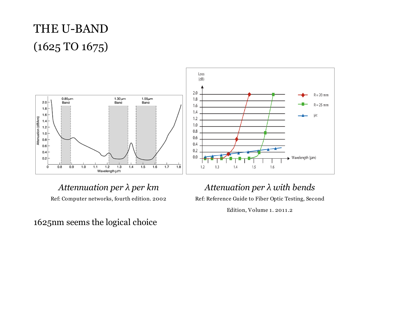# THE U-BAND (1625 TO 1675)



*Attennuation per λ per km* Ref: Computer networks, fourth edition. 2002

1625nm seems the logical choice

#### *Attenuation per λ with bends*

Ref: Reference Guide to Fiber Optic Testing, Second

Edition, Volume 1. 2011.2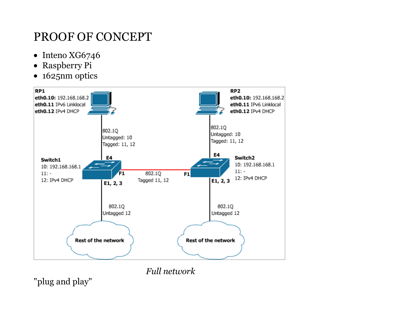# PROOF OF CONCEPT

- $\bullet$  Inteno XG6746
- Raspberry Pi
- 1625nm optics



*Full network*

"plug and play"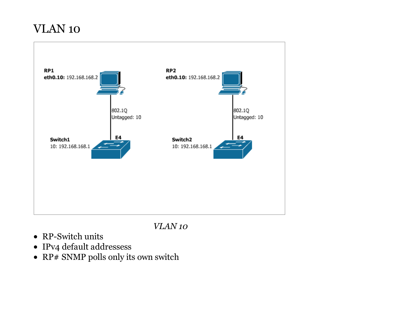### VLAN 10



*VLAN 10*

- RP-Switch units
- IPv4 default addressess
- RP# SNMP polls only its own switch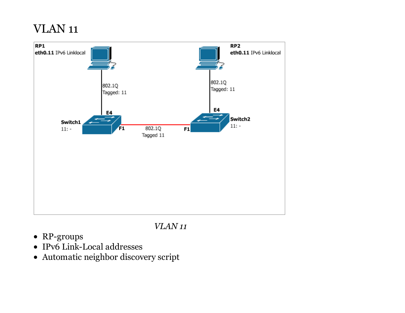### VLAN 11



#### *VLAN 11*

- RP-groups
- IPv6 Link-Local addresses
- Automatic neighbor discovery script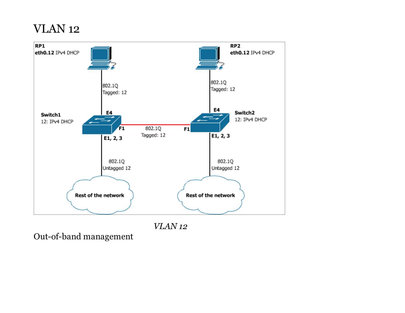### VLAN 12



Out-of-band management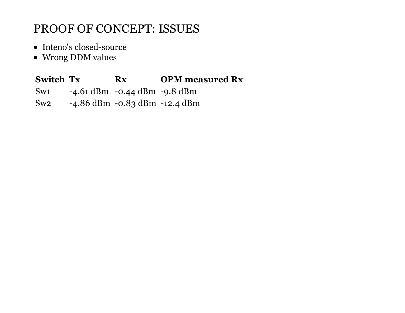## PROOF OF CONCEPT: ISSUES

- Inteno's closed-source
- Wrong DDM values

#### Switch Tx Rx OPM measured Rx

- Sw1 -4.61 dBm -0.44 dBm -9.8 dBm
- Sw2 -4.86 dBm -0.83 dBm -12.4 dBm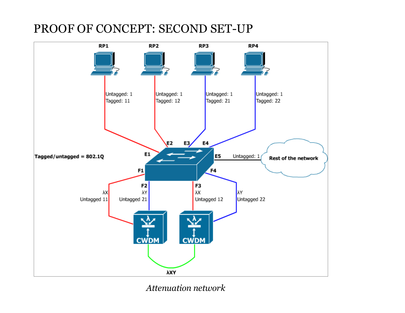### PROOF OF CONCEPT: SECOND SET-UP



*Attenuation network*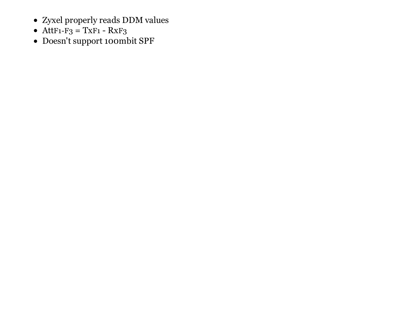- Zyxel properly reads DDM values
- $\bullet$  AttF1-F<sub>3</sub> = TxF1 RxF<sub>3</sub>
- Doesn't support 100mbit SPF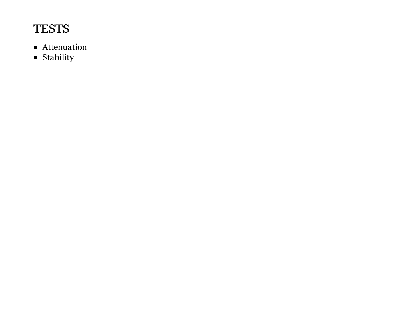## **TESTS**

- Attenuation
- $\bullet$  Stability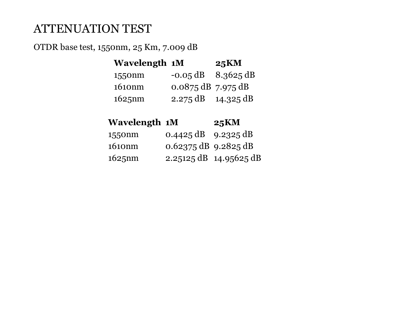### ATTENUATION TEST

OTDR base test, 1550nm, 25 Km, 7.009 dB

| <b>Wavelength 1M</b> |                              | <b>25KM</b> |
|----------------------|------------------------------|-------------|
| 1550nm               | $-0.05$ dB $-8.3625$ dB      |             |
| 1610nm               | $0.0875$ dB 7.975 dB         |             |
| 1625nm               | $2.275 \text{ dB}$ 14.325 dB |             |

| <b>Wavelength 1M</b>                                                                                                                                                                                                                                                                                                                                                                 |                               | <b>25KM</b> |
|--------------------------------------------------------------------------------------------------------------------------------------------------------------------------------------------------------------------------------------------------------------------------------------------------------------------------------------------------------------------------------------|-------------------------------|-------------|
| 1550nm                                                                                                                                                                                                                                                                                                                                                                               | $0.4425 \text{ dB}$ 9.2325 dB |             |
| $\overline{1}$ $\overline{1}$ $\overline{1}$ $\overline{1}$ $\overline{1}$ $\overline{1}$ $\overline{1}$ $\overline{1}$ $\overline{1}$ $\overline{1}$ $\overline{1}$ $\overline{1}$ $\overline{1}$ $\overline{1}$ $\overline{1}$ $\overline{1}$ $\overline{1}$ $\overline{1}$ $\overline{1}$ $\overline{1}$ $\overline{1}$ $\overline{1}$ $\overline{1}$ $\overline{1}$ $\overline{$ | $0.600 = 100000 = 10$         |             |

| 1010nm    | $0.02375$ $0.05$ 9.2825 $0.05$ |                        |
|-----------|--------------------------------|------------------------|
| $1625$ nm |                                | 2.25125 dB 14.95625 dB |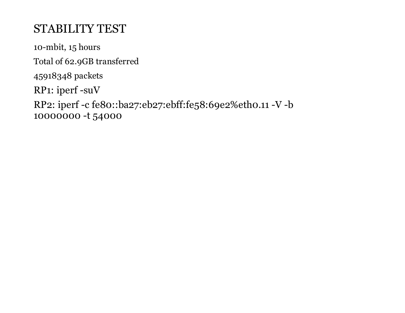## STABILITY TEST

10-mbit, 15 hours Total of 62.9GB transferred 45918348 packets RP1: iperf -suV RP2: iperf -c fe80::ba27:eb27:ebff:fe58:69e2%eth0.11 -V -b 10000000 -t 54000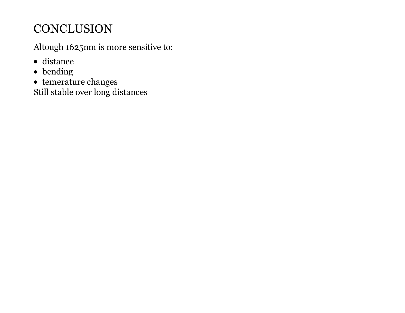## **CONCLUSION**

Altough 1625nm is more sensitive to:

- distance
- bending
- $\bullet~$  temerature changes

Still stable over long distances